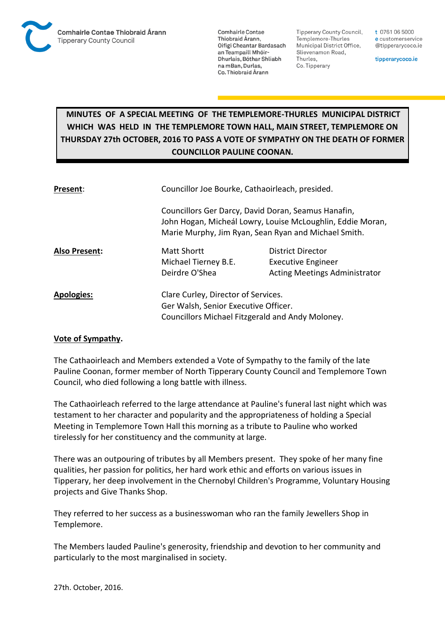

**Comhairle Contae** Thiobraid Árann. Oifigí Cheantar Bardasach an Teampaill Mhóir-Dhurlais, Bóthar Shliabh na mBan, Durlas. Co. Thiobraid Árann

**Tipperary County Council,** Templemore-Thurles Municipal District Office, Slievenamon Road, Thurles, Co. Tipperary

t 0761 06 5000 e customerservice @tipperarycoco.ie

tipperarycoco.ie

## **MINUTES OF A SPECIAL MEETING OF THE TEMPLEMORE-THURLES MUNICIPAL DISTRICT WHICH WAS HELD IN THE TEMPLEMORE TOWN HALL, MAIN STREET, TEMPLEMORE ON THURSDAY 27th OCTOBER, 2016 TO PASS A VOTE OF SYMPATHY ON THE DEATH OF FORMER COUNCILLOR PAULINE COONAN.**

| Present:             | Councillor Joe Bourke, Cathaoirleach, presided.                                                                                                                           |                                                |
|----------------------|---------------------------------------------------------------------------------------------------------------------------------------------------------------------------|------------------------------------------------|
|                      | Councillors Ger Darcy, David Doran, Seamus Hanafin,<br>John Hogan, Micheál Lowry, Louise McLoughlin, Eddie Moran,<br>Marie Murphy, Jim Ryan, Sean Ryan and Michael Smith. |                                                |
| <b>Also Present:</b> | <b>Matt Shortt</b><br>Michael Tierney B.E.                                                                                                                                | District Director<br><b>Executive Engineer</b> |
|                      | Deirdre O'Shea                                                                                                                                                            | <b>Acting Meetings Administrator</b>           |
| <b>Apologies:</b>    | Clare Curley, Director of Services.                                                                                                                                       |                                                |
|                      | Ger Walsh, Senior Executive Officer.                                                                                                                                      |                                                |
|                      | Councillors Michael Fitzgerald and Andy Moloney.                                                                                                                          |                                                |

## **Vote of Sympathy.**

The Cathaoirleach and Members extended a Vote of Sympathy to the family of the late Pauline Coonan, former member of North Tipperary County Council and Templemore Town Council, who died following a long battle with illness.

The Cathaoirleach referred to the large attendance at Pauline's funeral last night which was testament to her character and popularity and the appropriateness of holding a Special Meeting in Templemore Town Hall this morning as a tribute to Pauline who worked tirelessly for her constituency and the community at large.

There was an outpouring of tributes by all Members present. They spoke of her many fine qualities, her passion for politics, her hard work ethic and efforts on various issues in Tipperary, her deep involvement in the Chernobyl Children's Programme, Voluntary Housing projects and Give Thanks Shop.

They referred to her success as a businesswoman who ran the family Jewellers Shop in Templemore.

The Members lauded Pauline's generosity, friendship and devotion to her community and particularly to the most marginalised in society.